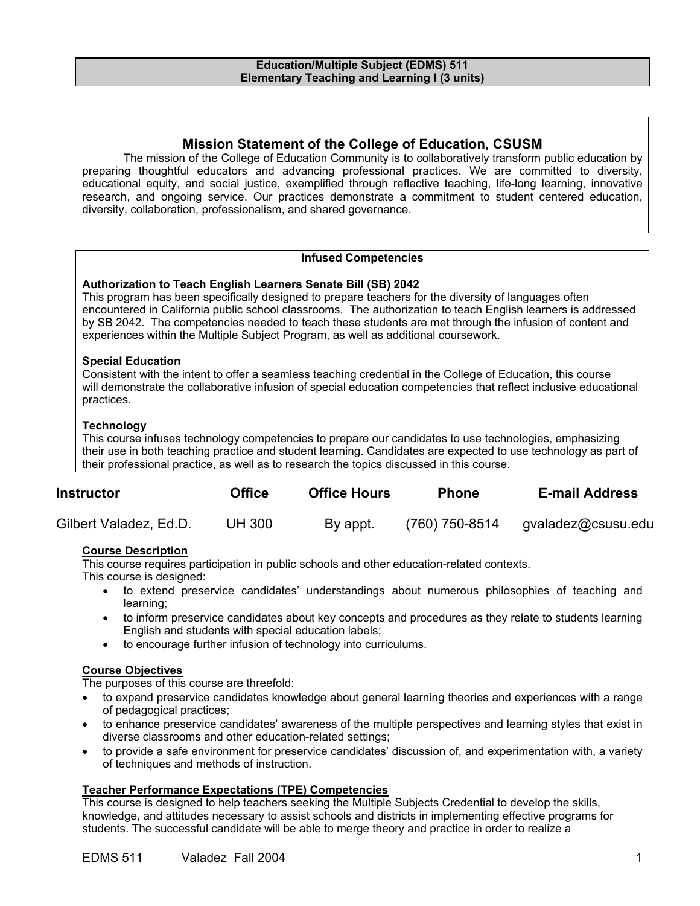## **Mission Statement of the College of Education, CSUSM**

The mission of the College of Education Community is to collaboratively transform public education by preparing thoughtful educators and advancing professional practices. We are committed to diversity, educational equity, and social justice, exemplified through reflective teaching, life-long learning, innovative research, and ongoing service. Our practices demonstrate a commitment to student centered education, diversity, collaboration, professionalism, and shared governance.

## **Infused Competencies**

#### **Authorization to Teach English Learners Senate Bill (SB) 2042**

This program has been specifically designed to prepare teachers for the diversity of languages often encountered in California public school classrooms. The authorization to teach English learners is addressed by SB 2042. The competencies needed to teach these students are met through the infusion of content and experiences within the Multiple Subject Program, as well as additional coursework.

#### **Special Education**

Consistent with the intent to offer a seamless teaching credential in the College of Education, this course will demonstrate the collaborative infusion of special education competencies that reflect inclusive educational practices.

## **Technology**

This course infuses technology competencies to prepare our candidates to use technologies, emphasizing their use in both teaching practice and student learning. Candidates are expected to use technology as part of their professional practice, as well as to research the topics discussed in this course.

| <b>Instructor</b>      | <b>Office</b> | <b>Office Hours</b> | <b>Phone</b>   | <b>E-mail Address</b> |
|------------------------|---------------|---------------------|----------------|-----------------------|
| Gilbert Valadez, Ed.D. | UH 300        | By appt.            | (760) 750-8514 | gvaladez@csusu.edu    |

## **Course Description**

This course requires participation in public schools and other education-related contexts.

This course is designed:

- to extend preservice candidates' understandings about numerous philosophies of teaching and learning;
- to inform preservice candidates about key concepts and procedures as they relate to students learning English and students with special education labels;
- to encourage further infusion of technology into curriculums.

## **Course Objectives**

The purposes of this course are threefold:

- to expand preservice candidates knowledge about general learning theories and experiences with a range of pedagogical practices;
- to enhance preservice candidates' awareness of the multiple perspectives and learning styles that exist in diverse classrooms and other education-related settings;
- to provide a safe environment for preservice candidates' discussion of, and experimentation with, a variety of techniques and methods of instruction.

## **Teacher Performance Expectations (TPE) Competencies**

This course is designed to help teachers seeking the Multiple Subjects Credential to develop the skills, knowledge, and attitudes necessary to assist schools and districts in implementing effective programs for students. The successful candidate will be able to merge theory and practice in order to realize a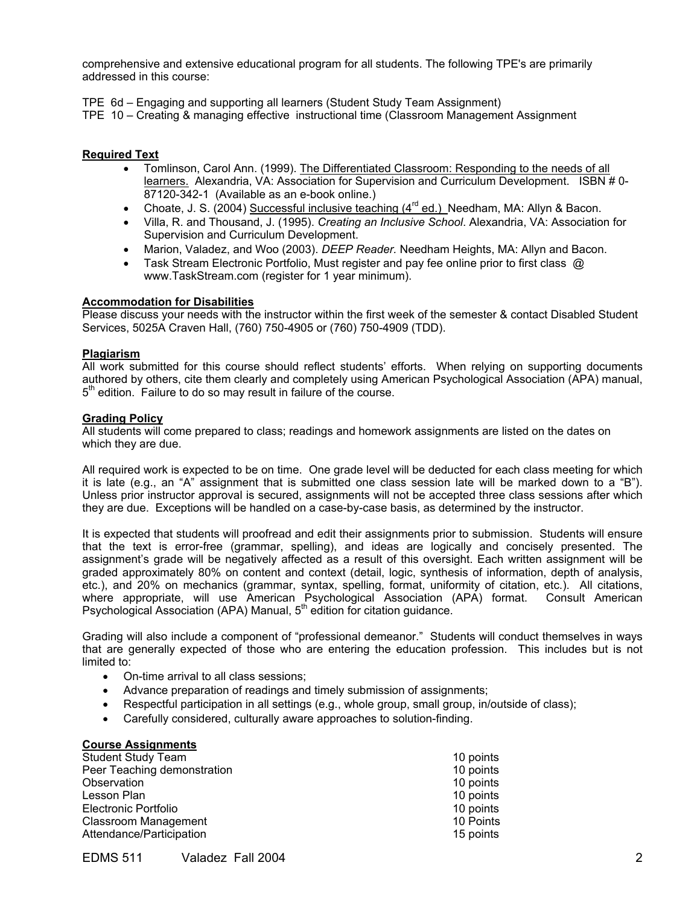comprehensive and extensive educational program for all students. The following TPE's are primarily addressed in this course:

TPE 6d – Engaging and supporting all learners (Student Study Team Assignment)

TPE 10 – Creating & managing effective instructional time (Classroom Management Assignment

#### **Required Text**

- Tomlinson, Carol Ann. (1999). The Differentiated Classroom: Responding to the needs of all learners. Alexandria, VA: Association for Supervision and Curriculum Development. ISBN # 0- 87120-342-1 (Available as an e-book online.)
- Choate, J. S. (2004) Successful inclusive teaching  $(4^{rd}$  ed.) Needham, MA: Allyn & Bacon.
- Villa, R. and Thousand, J. (1995). *Creating an Inclusive School*. Alexandria, VA: Association for Supervision and Curriculum Development.
- Marion, Valadez, and Woo (2003). *DEEP Reader.* Needham Heights, MA: Allyn and Bacon.
- Task Stream Electronic Portfolio, Must register and pay fee online prior to first class @ www.TaskStream.com (register for 1 year minimum).

#### **Accommodation for Disabilities**

Please discuss your needs with the instructor within the first week of the semester & contact Disabled Student Services, 5025A Craven Hall, (760) 750-4905 or (760) 750-4909 (TDD).

#### **Plagiarism**

All work submitted for this course should reflect students' efforts. When relying on supporting documents authored by others, cite them clearly and completely using American Psychological Association (APA) manual,  $5<sup>th</sup>$  edition. Failure to do so may result in failure of the course.

#### **Grading Policy**

All students will come prepared to class; readings and homework assignments are listed on the dates on which they are due.

All required work is expected to be on time. One grade level will be deducted for each class meeting for which it is late (e.g., an "A" assignment that is submitted one class session late will be marked down to a "B"). Unless prior instructor approval is secured, assignments will not be accepted three class sessions after which they are due. Exceptions will be handled on a case-by-case basis, as determined by the instructor.

It is expected that students will proofread and edit their assignments prior to submission. Students will ensure that the text is error-free (grammar, spelling), and ideas are logically and concisely presented. The assignment's grade will be negatively affected as a result of this oversight. Each written assignment will be graded approximately 80% on content and context (detail, logic, synthesis of information, depth of analysis, etc.), and 20% on mechanics (grammar, syntax, spelling, format, uniformity of citation, etc.). All citations, where appropriate, will use American Psychological Association (APA) format. Consult American Psychological Association (APA) Manual, 5<sup>th</sup> edition for citation guidance.

Grading will also include a component of "professional demeanor." Students will conduct themselves in ways that are generally expected of those who are entering the education profession. This includes but is not limited to:

- On-time arrival to all class sessions;
- Advance preparation of readings and timely submission of assignments;
- Respectful participation in all settings (e.g., whole group, small group, in/outside of class);
- Carefully considered, culturally aware approaches to solution-finding.

#### **Course Assignments**

| <b>Student Study Team</b>   | 10 points |
|-----------------------------|-----------|
| Peer Teaching demonstration | 10 points |
| Observation                 | 10 points |
| Lesson Plan                 | 10 points |
| Electronic Portfolio        | 10 points |
| <b>Classroom Management</b> | 10 Points |
| Attendance/Participation    | 15 points |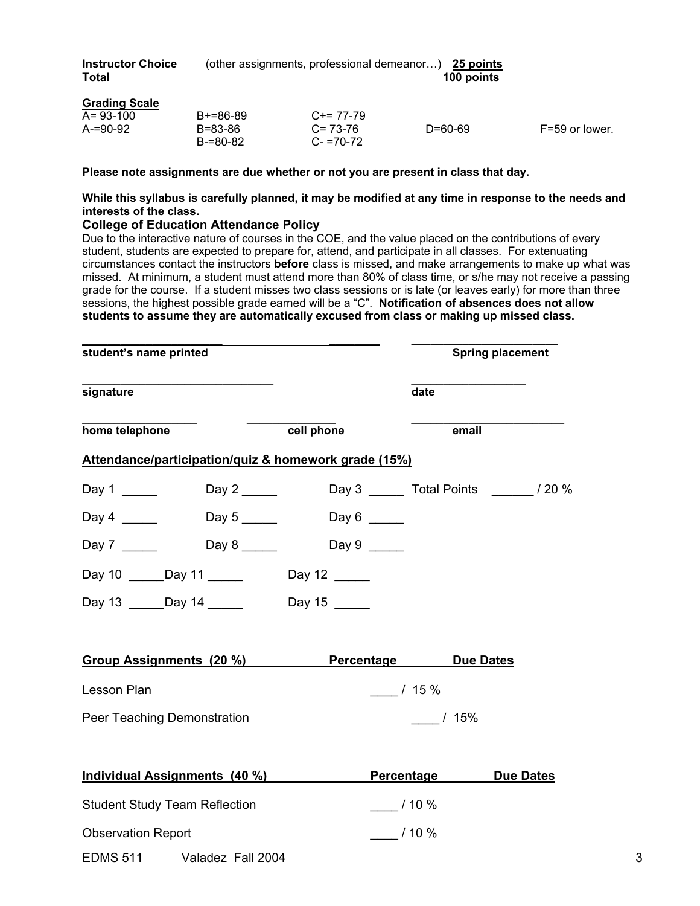| <b>Instructor Choice</b> | (other assignments, professional demeanor) 25 points |            |
|--------------------------|------------------------------------------------------|------------|
| <b>Total</b>             |                                                      | 100 points |

| <b>Grading Scale</b> |                          |                              |         |                |
|----------------------|--------------------------|------------------------------|---------|----------------|
| $A = 93 - 100$       | $B+=86-89$               | $C+= 77-79$                  |         |                |
| $A = 90 - 92$        | B=83-86<br>$B = 80 - 82$ | $C = 73-76$<br>$C - 70 - 72$ | D=60-69 | F=59 or lower. |

**Please note assignments are due whether or not you are present in class that day.** 

**While this syllabus is carefully planned, it may be modified at any time in response to the needs and interests of the class.** 

#### **College of Education Attendance Policy**

Due to the interactive nature of courses in the COE, and the value placed on the contributions of every student, students are expected to prepare for, attend, and participate in all classes. For extenuating circumstances contact the instructors **before** class is missed, and make arrangements to make up what was missed. At minimum, a student must attend more than 80% of class time, or s/he may not receive a passing grade for the course. If a student misses two class sessions or is late (or leaves early) for more than three sessions, the highest possible grade earned will be a "C". **Notification of absences does not allow students to assume they are automatically excused from class or making up missed class.** 

**\_\_\_\_\_\_\_\_\_\_\_\_\_\_\_\_\_\_\_\_\_\_ \_\_\_\_\_\_\_\_ \_\_\_\_\_\_\_\_\_\_\_\_\_\_\_\_\_\_\_\_\_\_\_** 

| student's name printed                                                                                                                                                   |            |                      | <b>Spring placement</b> |
|--------------------------------------------------------------------------------------------------------------------------------------------------------------------------|------------|----------------------|-------------------------|
| signature                                                                                                                                                                |            | date                 |                         |
| home telephone                                                                                                                                                           | cell phone | email                |                         |
| Attendance/participation/quiz & homework grade (15%)                                                                                                                     |            |                      |                         |
|                                                                                                                                                                          |            |                      |                         |
| Day 5 $\_\_\_\_\_\_\_\_\_\_\_\_\_\_\_\_\_\_\_\_\_\_\_\_\_\_\_\_\_\_\_$<br>Day 4 $\frac{1}{\sqrt{1-\frac{1}{2}}\sqrt{1-\frac{1}{2}}\left(\frac{1}{2}-\frac{1}{2}\right)}$ | Day 6      |                      |                         |
|                                                                                                                                                                          | Day 9      |                      |                         |
| Day 10 ______Day 11 _______ Day 12 _____                                                                                                                                 |            |                      |                         |
| Day 13 ______Day 14 _______________Day 15 ______                                                                                                                         |            |                      |                         |
| Group Assignments (20 %)                                                                                                                                                 |            | Percentage Due Dates |                         |
| Lesson Plan                                                                                                                                                              |            | $/15\%$              |                         |
| Peer Teaching Demonstration                                                                                                                                              |            | $\frac{1}{2}$ / 15%  |                         |
| Individual Assignments (40 %)                                                                                                                                            |            | Percentage           | <b>Due Dates</b>        |
| <b>Student Study Team Reflection</b>                                                                                                                                     |            | $10\%$               |                         |
| <b>Observation Report</b>                                                                                                                                                |            | $\frac{1}{2}$ / 10 % |                         |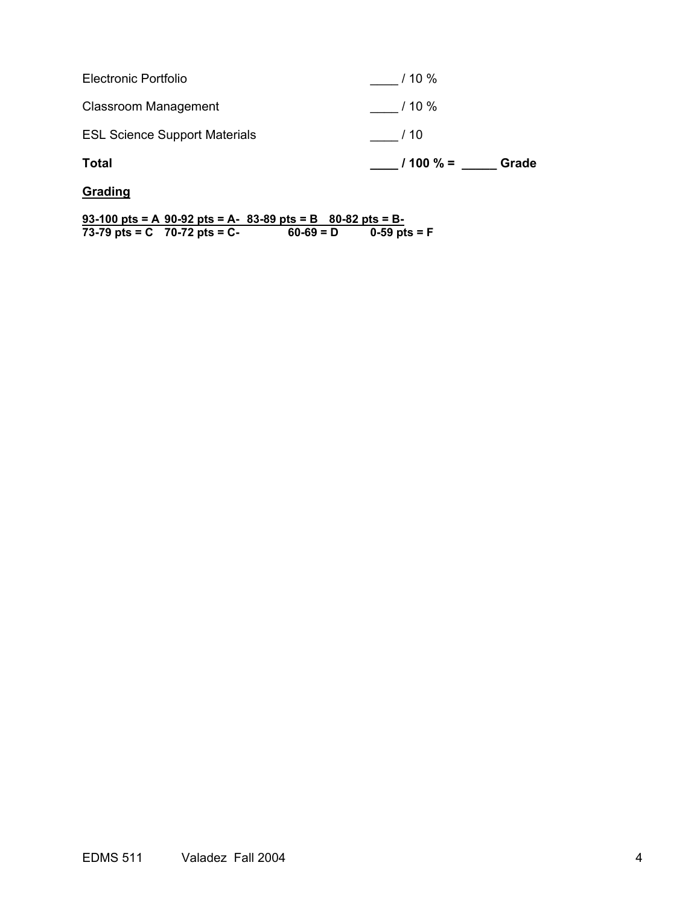| Total                                | $1100 \% =$<br>Grade |
|--------------------------------------|----------------------|
| <b>ESL Science Support Materials</b> | /10                  |
| Classroom Management                 | $\frac{1}{10\%}$     |
| Electronic Portfolio                 | / 10 %               |

**Grading** 

**93-100 pts = A 90-92 pts = A- 83-89 pts = B 80-82 pts = B-73-79 pts = C 70-72 pts = C- 60-69 = D 0-59 pts = F**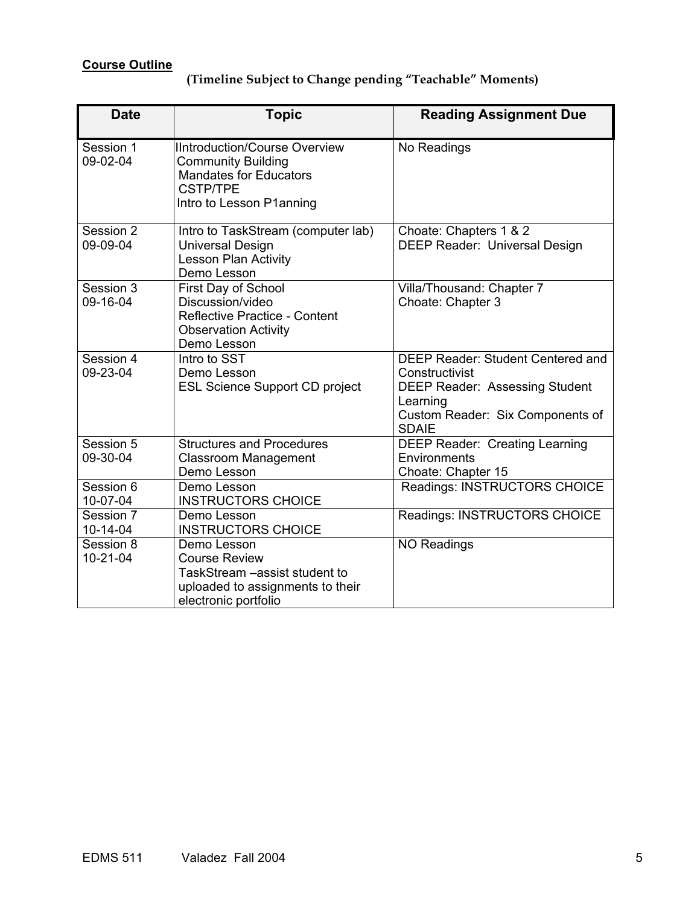# **Course Outline**

# **(Timeline Subject to Change pending "Teachable" Moments)**

| <b>Date</b>                 | <b>Topic</b>                                                                                                                                      | <b>Reading Assignment Due</b>                                                                                                                                |
|-----------------------------|---------------------------------------------------------------------------------------------------------------------------------------------------|--------------------------------------------------------------------------------------------------------------------------------------------------------------|
| Session 1<br>09-02-04       | <b>IIntroduction/Course Overview</b><br><b>Community Building</b><br><b>Mandates for Educators</b><br><b>CSTP/TPE</b><br>Intro to Lesson P1anning | No Readings                                                                                                                                                  |
| Session 2<br>09-09-04       | Intro to TaskStream (computer lab)<br><b>Universal Design</b><br>Lesson Plan Activity<br>Demo Lesson                                              | Choate: Chapters 1 & 2<br><b>DEEP Reader: Universal Design</b>                                                                                               |
| Session 3<br>09-16-04       | First Day of School<br>Discussion/video<br>Reflective Practice - Content<br><b>Observation Activity</b><br>Demo Lesson                            | Villa/Thousand: Chapter 7<br>Choate: Chapter 3                                                                                                               |
| Session 4<br>09-23-04       | Intro to SST<br>Demo Lesson<br><b>ESL Science Support CD project</b>                                                                              | DEEP Reader: Student Centered and<br>Constructivist<br><b>DEEP Reader: Assessing Student</b><br>Learning<br>Custom Reader: Six Components of<br><b>SDAIE</b> |
| Session 5<br>09-30-04       | <b>Structures and Procedures</b><br><b>Classroom Management</b><br>Demo Lesson                                                                    | <b>DEEP Reader: Creating Learning</b><br>Environments<br>Choate: Chapter 15                                                                                  |
| Session 6<br>10-07-04       | Demo Lesson<br><b>INSTRUCTORS CHOICE</b>                                                                                                          | Readings: INSTRUCTORS CHOICE                                                                                                                                 |
| Session 7<br>$10 - 14 - 04$ | Demo Lesson<br><b>INSTRUCTORS CHOICE</b>                                                                                                          | Readings: INSTRUCTORS CHOICE                                                                                                                                 |
| Session 8<br>$10 - 21 - 04$ | Demo Lesson<br><b>Course Review</b><br>TaskStream - assist student to<br>uploaded to assignments to their<br>electronic portfolio                 | <b>NO Readings</b>                                                                                                                                           |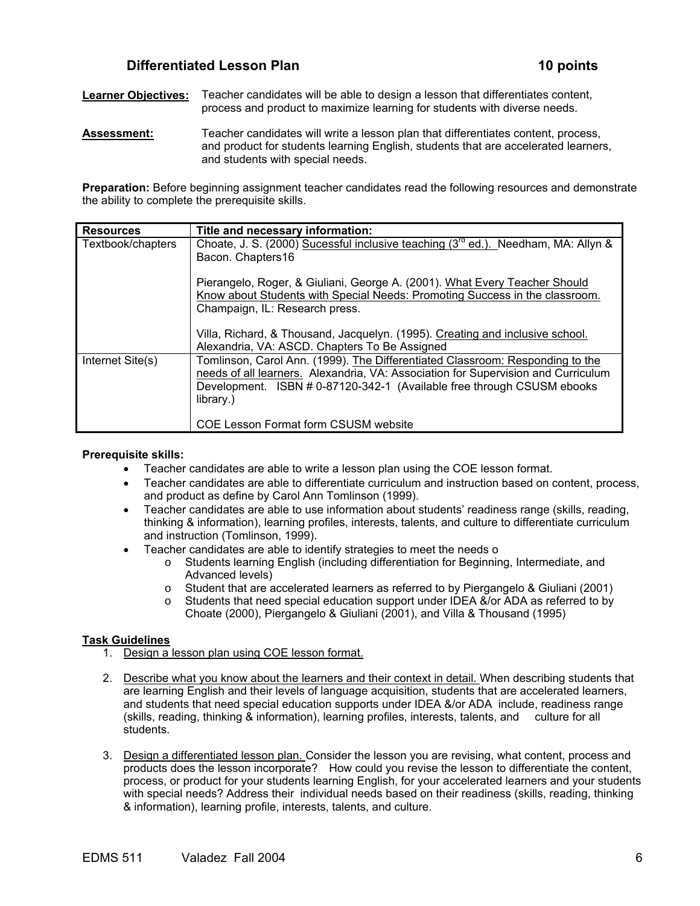## **Differentiated Lesson Plan 10 points**

**Learner Objectives:** Teacher candidates will be able to design a lesson that differentiates content, process and product to maximize learning for students with diverse needs.

**Assessment:** Teacher candidates will write a lesson plan that differentiates content, process, and product for students learning English, students that are accelerated learners, and students with special needs.

**Preparation:** Before beginning assignment teacher candidates read the following resources and demonstrate the ability to complete the prerequisite skills.

| <b>Resources</b>  | Title and necessary information:                                                              |
|-------------------|-----------------------------------------------------------------------------------------------|
| Textbook/chapters | Choate, J. S. (2000) Sucessful inclusive teaching (3 <sup>rd</sup> ed.). Needham, MA: Allyn & |
|                   | Bacon. Chapters16                                                                             |
|                   | Pierangelo, Roger, & Giuliani, George A. (2001). What Every Teacher Should                    |
|                   | Know about Students with Special Needs: Promoting Success in the classroom.                   |
|                   | Champaign, IL: Research press.                                                                |
|                   | Villa, Richard, & Thousand, Jacquelyn. (1995). Creating and inclusive school.                 |
|                   | Alexandria, VA: ASCD. Chapters To Be Assigned                                                 |
| Internet Site(s)  | Tomlinson, Carol Ann. (1999). The Differentiated Classroom: Responding to the                 |
|                   | needs of all learners. Alexandria, VA: Association for Supervision and Curriculum             |
|                   | Development. ISBN # 0-87120-342-1 (Available free through CSUSM ebooks                        |
|                   | library.)                                                                                     |
|                   | COE Lesson Format form CSUSM website                                                          |

#### **Prerequisite skills:**

- Teacher candidates are able to write a lesson plan using the COE lesson format.
- Teacher candidates are able to differentiate curriculum and instruction based on content, process, and product as define by Carol Ann Tomlinson (1999).
- Teacher candidates are able to use information about students' readiness range (skills, reading, thinking & information), learning profiles, interests, talents, and culture to differentiate curriculum and instruction (Tomlinson, 1999).
- Teacher candidates are able to identify strategies to meet the needs o
	- o Students learning English (including differentiation for Beginning, Intermediate, and Advanced levels)
	- o Student that are accelerated learners as referred to by Piergangelo & Giuliani (2001)
	- o Students that need special education support under IDEA &/or ADA as referred to by Choate (2000), Piergangelo & Giuliani (2001), and Villa & Thousand (1995)

#### **Task Guidelines**

- 1. Design a lesson plan using COE lesson format.
- 2. Describe what you know about the learners and their context in detail. When describing students that are learning English and their levels of language acquisition, students that are accelerated learners, and students that need special education supports under IDEA &/or ADA include, readiness range (skills, reading, thinking & information), learning profiles, interests, talents, and culture for all students.
- 3. Design a differentiated lesson plan. Consider the lesson you are revising, what content, process and products does the lesson incorporate? How could you revise the lesson to differentiate the content, process, or product for your students learning English, for your accelerated learners and your students with special needs? Address their individual needs based on their readiness (skills, reading, thinking & information), learning profile, interests, talents, and culture.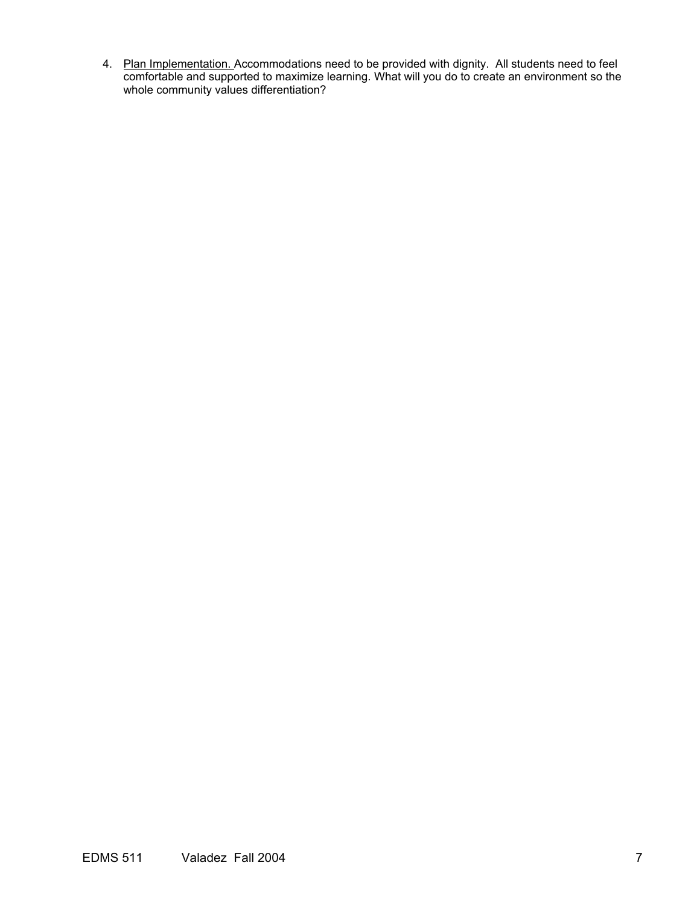4. Plan Implementation. Accommodations need to be provided with dignity. All students need to feel comfortable and supported to maximize learning. What will you do to create an environment so the whole community values differentiation?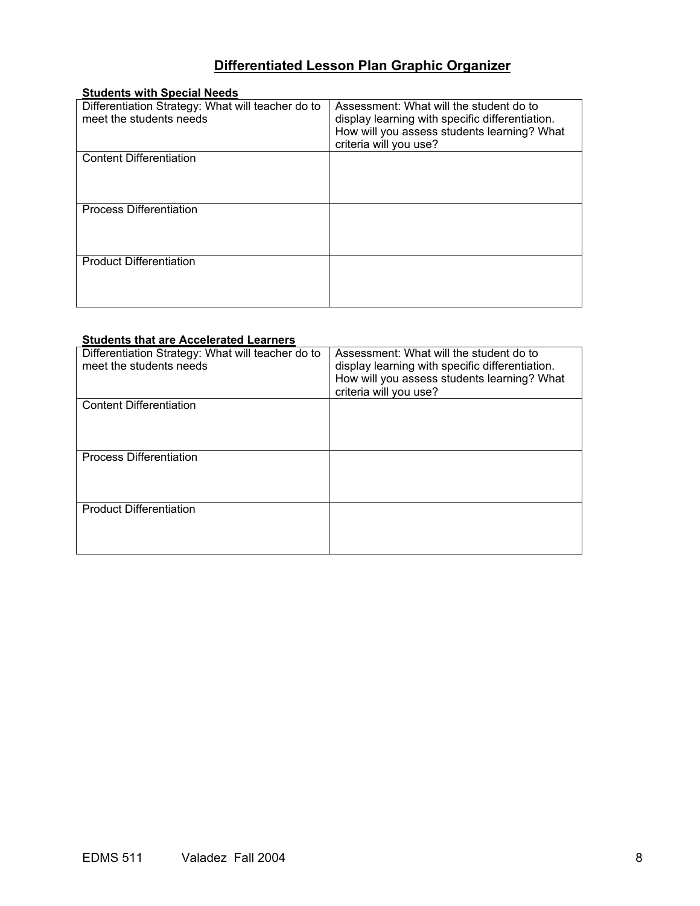# **Differentiated Lesson Plan Graphic Organizer**

| <b>Students with Special Needs</b>                |                                                 |
|---------------------------------------------------|-------------------------------------------------|
| Differentiation Strategy: What will teacher do to | Assessment: What will the student do to         |
| meet the students needs                           | display learning with specific differentiation. |
|                                                   | How will you assess students learning? What     |
|                                                   | criteria will you use?                          |
| <b>Content Differentiation</b>                    |                                                 |
|                                                   |                                                 |
|                                                   |                                                 |
|                                                   |                                                 |
| <b>Process Differentiation</b>                    |                                                 |
|                                                   |                                                 |
|                                                   |                                                 |
|                                                   |                                                 |
| <b>Product Differentiation</b>                    |                                                 |
|                                                   |                                                 |
|                                                   |                                                 |
|                                                   |                                                 |

## **Students that are Accelerated Learners**

| Differentiation Strategy: What will teacher do to<br>meet the students needs | Assessment: What will the student do to<br>display learning with specific differentiation.<br>How will you assess students learning? What<br>criteria will you use? |
|------------------------------------------------------------------------------|---------------------------------------------------------------------------------------------------------------------------------------------------------------------|
| <b>Content Differentiation</b>                                               |                                                                                                                                                                     |
|                                                                              |                                                                                                                                                                     |
|                                                                              |                                                                                                                                                                     |
|                                                                              |                                                                                                                                                                     |
|                                                                              |                                                                                                                                                                     |
| <b>Process Differentiation</b>                                               |                                                                                                                                                                     |
|                                                                              |                                                                                                                                                                     |
|                                                                              |                                                                                                                                                                     |
|                                                                              |                                                                                                                                                                     |
|                                                                              |                                                                                                                                                                     |
| <b>Product Differentiation</b>                                               |                                                                                                                                                                     |
|                                                                              |                                                                                                                                                                     |
|                                                                              |                                                                                                                                                                     |
|                                                                              |                                                                                                                                                                     |
|                                                                              |                                                                                                                                                                     |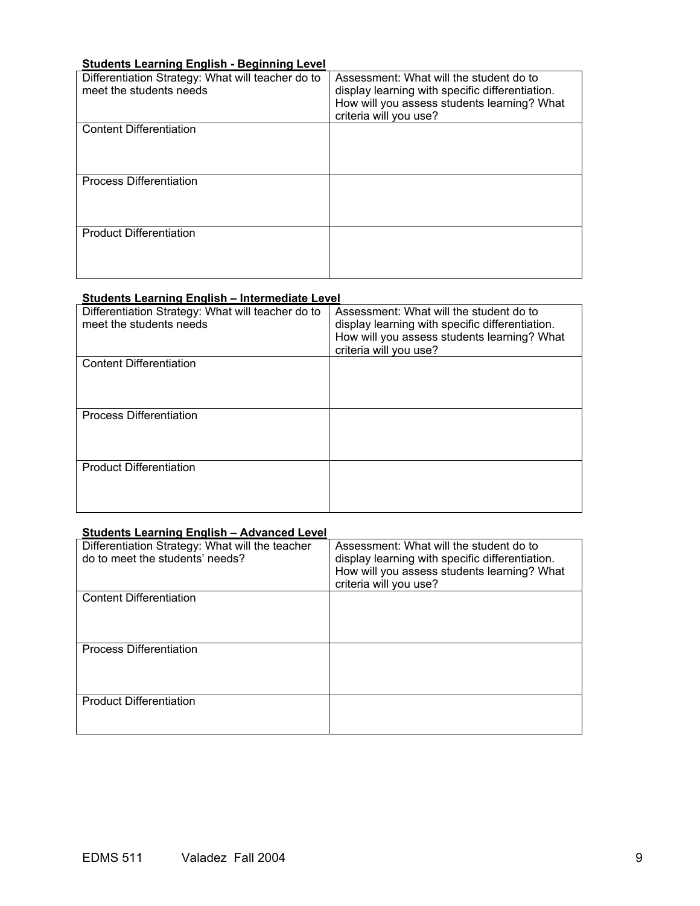## **Students Learning English - Beginning Level**

| Differentiation Strategy: What will teacher do to<br>meet the students needs | Assessment: What will the student do to<br>display learning with specific differentiation.<br>How will you assess students learning? What<br>criteria will you use? |
|------------------------------------------------------------------------------|---------------------------------------------------------------------------------------------------------------------------------------------------------------------|
| <b>Content Differentiation</b>                                               |                                                                                                                                                                     |
| <b>Process Differentiation</b>                                               |                                                                                                                                                                     |
| <b>Product Differentiation</b>                                               |                                                                                                                                                                     |

## **Students Learning English – Intermediate Level**

| Differentiation Strategy: What will teacher do to<br>meet the students needs | Assessment: What will the student do to<br>display learning with specific differentiation.<br>How will you assess students learning? What<br>criteria will you use? |
|------------------------------------------------------------------------------|---------------------------------------------------------------------------------------------------------------------------------------------------------------------|
| <b>Content Differentiation</b>                                               |                                                                                                                                                                     |
| <b>Process Differentiation</b>                                               |                                                                                                                                                                     |
| <b>Product Differentiation</b>                                               |                                                                                                                                                                     |

## **Students Learning English – Advanced Level**

| Differentiation Strategy: What will the teacher<br>do to meet the students' needs? | Assessment: What will the student do to<br>display learning with specific differentiation.<br>How will you assess students learning? What<br>criteria will you use? |
|------------------------------------------------------------------------------------|---------------------------------------------------------------------------------------------------------------------------------------------------------------------|
| <b>Content Differentiation</b>                                                     |                                                                                                                                                                     |
| <b>Process Differentiation</b>                                                     |                                                                                                                                                                     |
| <b>Product Differentiation</b>                                                     |                                                                                                                                                                     |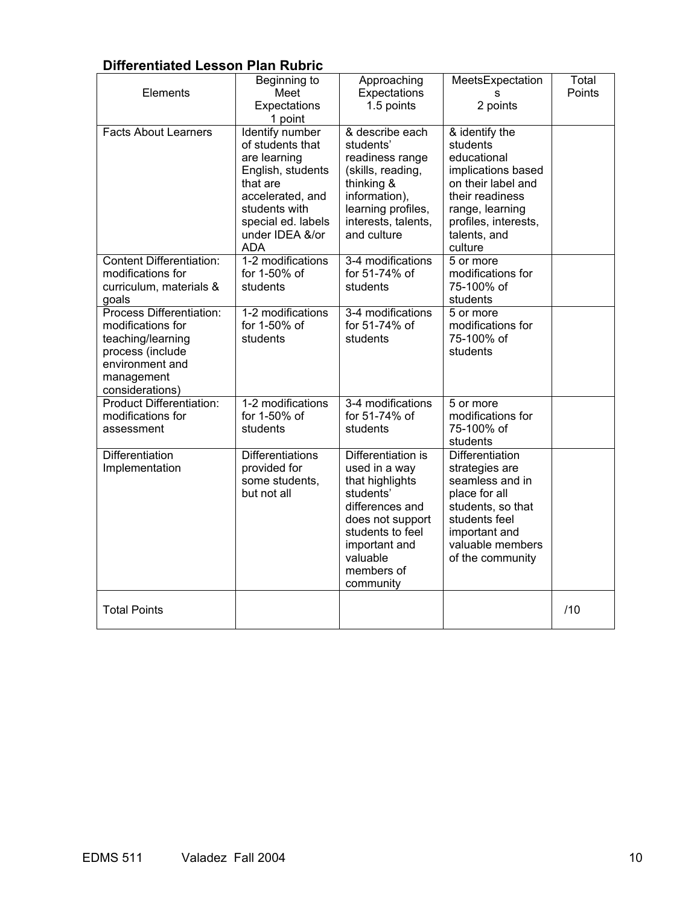# **Differentiated Lesson Plan Rubric**

| Elements<br><b>Facts About Learners</b>                                                                                                    | Beginning to<br>Meet<br>Expectations<br>1 point<br><b>Identify number</b>                                                                                     | Approaching<br>Expectations<br>1.5 points<br>& describe each                                                                                                                           | MeetsExpectation<br>s<br>2 points<br>& identify the                                                                                                                  | Total<br>Points |
|--------------------------------------------------------------------------------------------------------------------------------------------|---------------------------------------------------------------------------------------------------------------------------------------------------------------|----------------------------------------------------------------------------------------------------------------------------------------------------------------------------------------|----------------------------------------------------------------------------------------------------------------------------------------------------------------------|-----------------|
|                                                                                                                                            | of students that<br>are learning<br>English, students<br>that are<br>accelerated, and<br>students with<br>special ed. labels<br>under IDEA &/or<br><b>ADA</b> | students'<br>readiness range<br>(skills, reading,<br>thinking &<br>information),<br>learning profiles,<br>interests, talents,<br>and culture                                           | students<br>educational<br>implications based<br>on their label and<br>their readiness<br>range, learning<br>profiles, interests,<br>talents, and<br>culture         |                 |
| <b>Content Differentiation:</b><br>modifications for<br>curriculum, materials &<br>goals                                                   | 1-2 modifications<br>for 1-50% of<br>students                                                                                                                 | 3-4 modifications<br>for 51-74% of<br>students                                                                                                                                         | 5 or more<br>modifications for<br>75-100% of<br>students                                                                                                             |                 |
| Process Differentiation:<br>modifications for<br>teaching/learning<br>process (include<br>environment and<br>management<br>considerations) | 1-2 modifications<br>for 1-50% of<br>students                                                                                                                 | 3-4 modifications<br>for 51-74% of<br>students                                                                                                                                         | 5 or more<br>modifications for<br>75-100% of<br>students                                                                                                             |                 |
| <b>Product Differentiation:</b><br>modifications for<br>assessment                                                                         | 1-2 modifications<br>for 1-50% of<br>students                                                                                                                 | 3-4 modifications<br>for 51-74% of<br>students                                                                                                                                         | 5 or more<br>modifications for<br>75-100% of<br>students                                                                                                             |                 |
| Differentiation<br>Implementation                                                                                                          | <b>Differentiations</b><br>provided for<br>some students,<br>but not all                                                                                      | Differentiation is<br>used in a way<br>that highlights<br>students'<br>differences and<br>does not support<br>students to feel<br>important and<br>valuable<br>members of<br>community | Differentiation<br>strategies are<br>seamless and in<br>place for all<br>students, so that<br>students feel<br>important and<br>valuable members<br>of the community |                 |
| <b>Total Points</b>                                                                                                                        |                                                                                                                                                               |                                                                                                                                                                                        |                                                                                                                                                                      | /10             |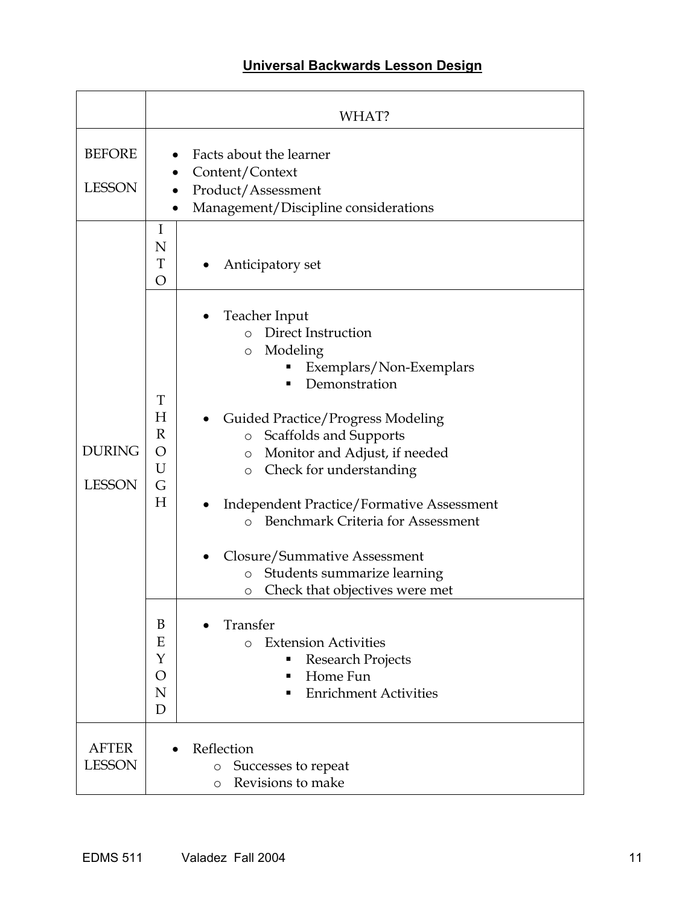# **Universal Backwards Lesson Design**

|                                | WHAT?                                                                                                                                                                                                                                                                                                                                                                                                                                                                                                                                                                                                                                                                                                             |
|--------------------------------|-------------------------------------------------------------------------------------------------------------------------------------------------------------------------------------------------------------------------------------------------------------------------------------------------------------------------------------------------------------------------------------------------------------------------------------------------------------------------------------------------------------------------------------------------------------------------------------------------------------------------------------------------------------------------------------------------------------------|
| <b>BEFORE</b><br><b>LESSON</b> | Facts about the learner<br>Content/Context<br>Product/Assessment<br>Management/Discipline considerations<br>$\bullet$                                                                                                                                                                                                                                                                                                                                                                                                                                                                                                                                                                                             |
|                                | I<br>N<br>T<br>Anticipatory set<br>O                                                                                                                                                                                                                                                                                                                                                                                                                                                                                                                                                                                                                                                                              |
| <b>DURING</b><br><b>LESSON</b> | Teacher Input<br>o Direct Instruction<br>Modeling<br>$\circ$<br>Exemplars/Non-Exemplars<br>Demonstration<br>T<br>H<br><b>Guided Practice/Progress Modeling</b><br>$\mathbb{R}$<br>Scaffolds and Supports<br>$\circ$<br>O<br>Monitor and Adjust, if needed<br>$\circ$<br>U<br>Check for understanding<br>$\circ$<br>G<br>Н<br><b>Independent Practice/Formative Assessment</b><br><b>Benchmark Criteria for Assessment</b><br>$\Omega$<br>Closure/Summative Assessment<br>Students summarize learning<br>$\circ$<br>Check that objectives were met<br>O<br>B<br>Transfer<br><b>Extension Activities</b><br>Ε<br>$\Omega$<br>Y<br>Research Projects<br>Home Fun<br>O<br>п<br><b>Enrichment Activities</b><br>N<br>D |
| <b>AFTER</b><br><b>LESSON</b>  | Reflection<br>Successes to repeat<br>$\circ$<br>Revisions to make<br>$\circ$                                                                                                                                                                                                                                                                                                                                                                                                                                                                                                                                                                                                                                      |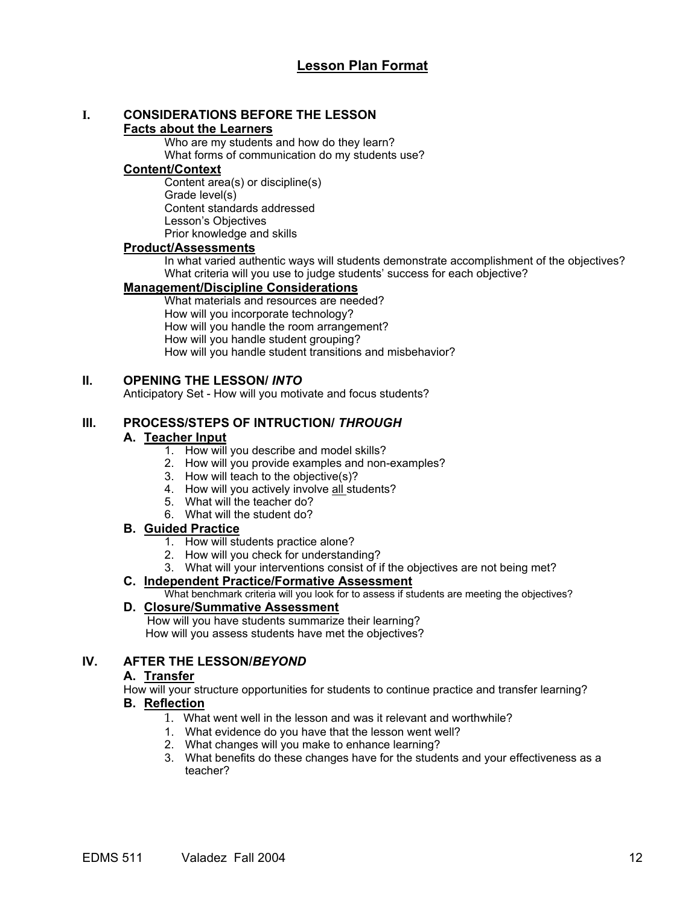# **I. CONSIDERATIONS BEFORE THE LESSON**

## **Facts about the Learners**

Who are my students and how do they learn? What forms of communication do my students use?

## **Content/Context**

Content area(s) or discipline(s) Grade level(s) Content standards addressed Lesson's Objectives Prior knowledge and skills

## **Product/Assessments**

In what varied authentic ways will students demonstrate accomplishment of the objectives? What criteria will you use to judge students' success for each objective?

## **Management/Discipline Considerations**

What materials and resources are needed? How will you incorporate technology? How will you handle the room arrangement? How will you handle student grouping? How will you handle student transitions and misbehavior?

## **II. OPENING THE LESSON/** *INTO*

Anticipatory Set - How will you motivate and focus students?

## **III. PROCESS/STEPS OF INTRUCTION/** *THROUGH*

## **A. Teacher Input**

- 1. How will you describe and model skills?
- 2. How will you provide examples and non-examples?
- 3. How will teach to the objective(s)?
- 4. How will you actively involve all students?
- 5. What will the teacher do?
- 6. What will the student do?

## **B. Guided Practice**

- 1. How will students practice alone?
- 2. How will you check for understanding?
- 3. What will your interventions consist of if the objectives are not being met?

## **C. Independent Practice/Formative Assessment**

What benchmark criteria will you look for to assess if students are meeting the objectives?

## **D. Closure/Summative Assessment**

 How will you have students summarize their learning? How will you assess students have met the objectives?

## **IV. AFTER THE LESSON/***BEYOND*

## **A. Transfer**

How will your structure opportunities for students to continue practice and transfer learning?

## **B. Reflection**

- 1. What went well in the lesson and was it relevant and worthwhile?
- 1. What evidence do you have that the lesson went well?
- 2. What changes will you make to enhance learning?
- 3. What benefits do these changes have for the students and your effectiveness as a teacher?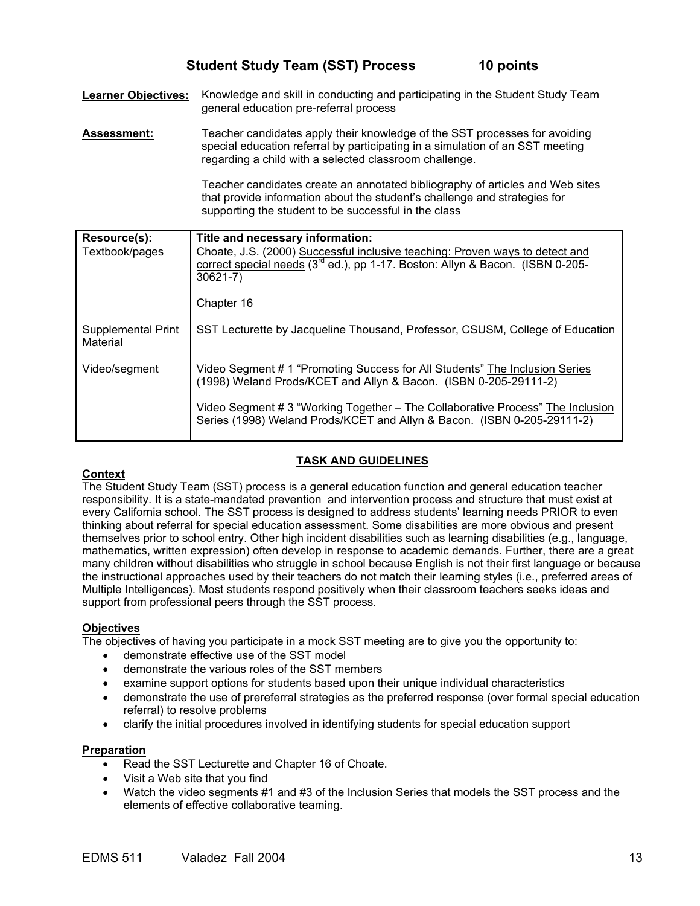**Learner Objectives:** Knowledge and skill in conducting and participating in the Student Study Team general education pre-referral process

**Assessment:** Teacher candidates apply their knowledge of the SST processes for avoiding special education referral by participating in a simulation of an SST meeting regarding a child with a selected classroom challenge.

> Teacher candidates create an annotated bibliography of articles and Web sites that provide information about the student's challenge and strategies for supporting the student to be successful in the class

| Resource(s):                   | Title and necessary information:                                                                                                                                                                                                                                                                             |
|--------------------------------|--------------------------------------------------------------------------------------------------------------------------------------------------------------------------------------------------------------------------------------------------------------------------------------------------------------|
| Textbook/pages                 | Choate, J.S. (2000) Successful inclusive teaching: Proven ways to detect and<br>correct special needs (3 <sup>rd</sup> ed.), pp 1-17. Boston: Allyn & Bacon. (ISBN 0-205-<br>$30621 - 7$ )<br>Chapter 16                                                                                                     |
| Supplemental Print<br>Material | SST Lecturette by Jacqueline Thousand, Professor, CSUSM, College of Education                                                                                                                                                                                                                                |
| Video/segment                  | Video Segment # 1 "Promoting Success for All Students" The Inclusion Series<br>(1998) Weland Prods/KCET and Allyn & Bacon. (ISBN 0-205-29111-2)<br>Video Segment # 3 "Working Together – The Collaborative Process" The Inclusion<br>Series (1998) Weland Prods/KCET and Allyn & Bacon. (ISBN 0-205-29111-2) |

## **TASK AND GUIDELINES**

## **Context**

The Student Study Team (SST) process is a general education function and general education teacher responsibility. It is a state-mandated prevention and intervention process and structure that must exist at every California school. The SST process is designed to address students' learning needs PRIOR to even thinking about referral for special education assessment. Some disabilities are more obvious and present themselves prior to school entry. Other high incident disabilities such as learning disabilities (e.g., language, mathematics, written expression) often develop in response to academic demands. Further, there are a great many children without disabilities who struggle in school because English is not their first language or because the instructional approaches used by their teachers do not match their learning styles (i.e., preferred areas of Multiple Intelligences). Most students respond positively when their classroom teachers seeks ideas and support from professional peers through the SST process.

## **Objectives**

The objectives of having you participate in a mock SST meeting are to give you the opportunity to:

- demonstrate effective use of the SST model
- demonstrate the various roles of the SST members
- examine support options for students based upon their unique individual characteristics
- demonstrate the use of prereferral strategies as the preferred response (over formal special education referral) to resolve problems
- clarify the initial procedures involved in identifying students for special education support

#### **Preparation**

- Read the SST Lecturette and Chapter 16 of Choate.
- Visit a Web site that you find
- Watch the video segments #1 and #3 of the Inclusion Series that models the SST process and the elements of effective collaborative teaming.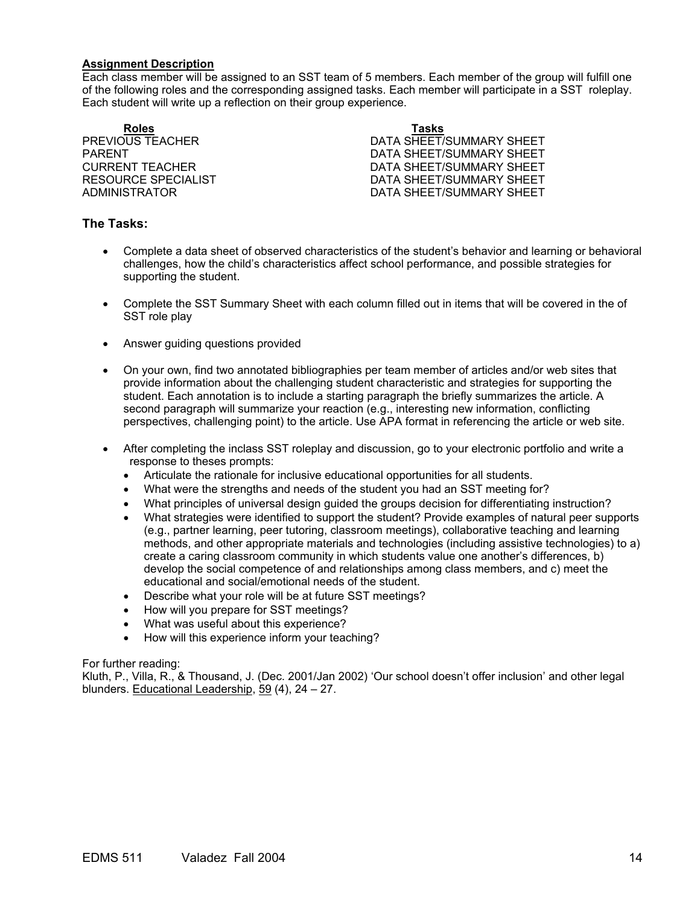#### **Assignment Description**

Each class member will be assigned to an SST team of 5 members. Each member of the group will fulfill one of the following roles and the corresponding assigned tasks. Each member will participate in a SST roleplay. Each student will write up a reflection on their group experience.

**Roles Tasks**

**PREVIOUS TEACHER CONSUMING THE SECTION OF A SHEET/SUMMARY SHEET** PARENT PARENT DATA SHEET/SUMMARY SHEET CURRENT TEACHER **DATA SHEET/SUMMARY SHEET** RESOURCE SPECIALIST **EXECUTE:** DATA SHEET/SUMMARY SHEET ADMINISTRATOR DATA SHEET/SUMMARY SHEET

## **The Tasks:**

- Complete a data sheet of observed characteristics of the student's behavior and learning or behavioral challenges, how the child's characteristics affect school performance, and possible strategies for supporting the student.
- Complete the SST Summary Sheet with each column filled out in items that will be covered in the of SST role play
- Answer guiding questions provided
- On your own, find two annotated bibliographies per team member of articles and/or web sites that provide information about the challenging student characteristic and strategies for supporting the student. Each annotation is to include a starting paragraph the briefly summarizes the article. A second paragraph will summarize your reaction (e.g., interesting new information, conflicting perspectives, challenging point) to the article. Use APA format in referencing the article or web site.
- After completing the inclass SST roleplay and discussion, go to your electronic portfolio and write a response to theses prompts:
	- Articulate the rationale for inclusive educational opportunities for all students.
	- What were the strengths and needs of the student you had an SST meeting for?
	- What principles of universal design guided the groups decision for differentiating instruction?
	- What strategies were identified to support the student? Provide examples of natural peer supports (e.g., partner learning, peer tutoring, classroom meetings), collaborative teaching and learning methods, and other appropriate materials and technologies (including assistive technologies) to a) create a caring classroom community in which students value one another's differences, b) develop the social competence of and relationships among class members, and c) meet the educational and social/emotional needs of the student.
	- Describe what your role will be at future SST meetings?
	- How will you prepare for SST meetings?
	- What was useful about this experience?
	- How will this experience inform your teaching?

For further reading:

Kluth, P., Villa, R., & Thousand, J. (Dec. 2001/Jan 2002) 'Our school doesn't offer inclusion' and other legal blunders. Educational Leadership, 59 (4), 24 – 27.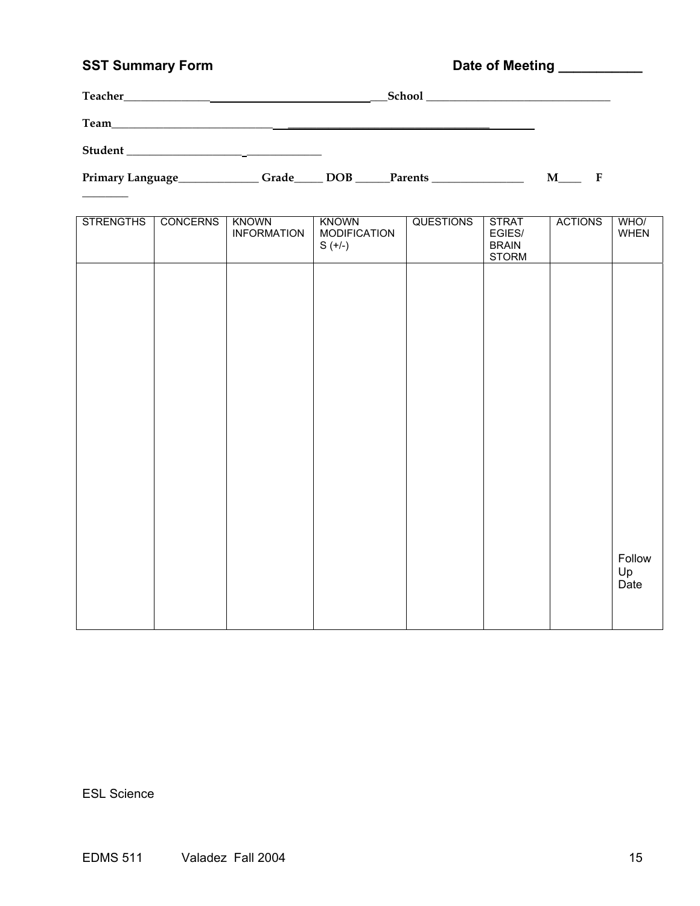# SST Summary Form **Date of Meeting Limits Community** Date of Meeting Limits 2007

| Teacher_ | School |
|----------|--------|
| Team     |        |
| Student  |        |

 $\overline{\phantom{a}}$ 

Primary Language\_\_\_\_\_\_\_\_\_\_\_\_\_Grade\_\_\_\_\_ DOB \_\_\_\_\_Parents \_\_\_\_\_\_\_\_\_\_\_\_\_\_\_\_\_\_\_\_\_\_ M\_\_\_\_\_ F

| <b>STRENGTHS</b> | <b>CONCERNS</b> | <b>KNOWN</b><br><b>INFORMATION</b> | <b>KNOWN</b><br><b>MODIFICATION</b><br>$S (+/-)$ | <b>QUESTIONS</b> | <b>STRAT</b><br>EGIES/<br><b>BRAIN</b><br><b>STORM</b> | <b>ACTIONS</b> | WHO/<br>WHEN         |
|------------------|-----------------|------------------------------------|--------------------------------------------------|------------------|--------------------------------------------------------|----------------|----------------------|
|                  |                 |                                    |                                                  |                  |                                                        |                |                      |
|                  |                 |                                    |                                                  |                  |                                                        |                |                      |
|                  |                 |                                    |                                                  |                  |                                                        |                |                      |
|                  |                 |                                    |                                                  |                  |                                                        |                |                      |
|                  |                 |                                    |                                                  |                  |                                                        |                |                      |
|                  |                 |                                    |                                                  |                  |                                                        |                |                      |
|                  |                 |                                    |                                                  |                  |                                                        |                | Follow<br>Up<br>Date |
|                  |                 |                                    |                                                  |                  |                                                        |                |                      |

ESL Science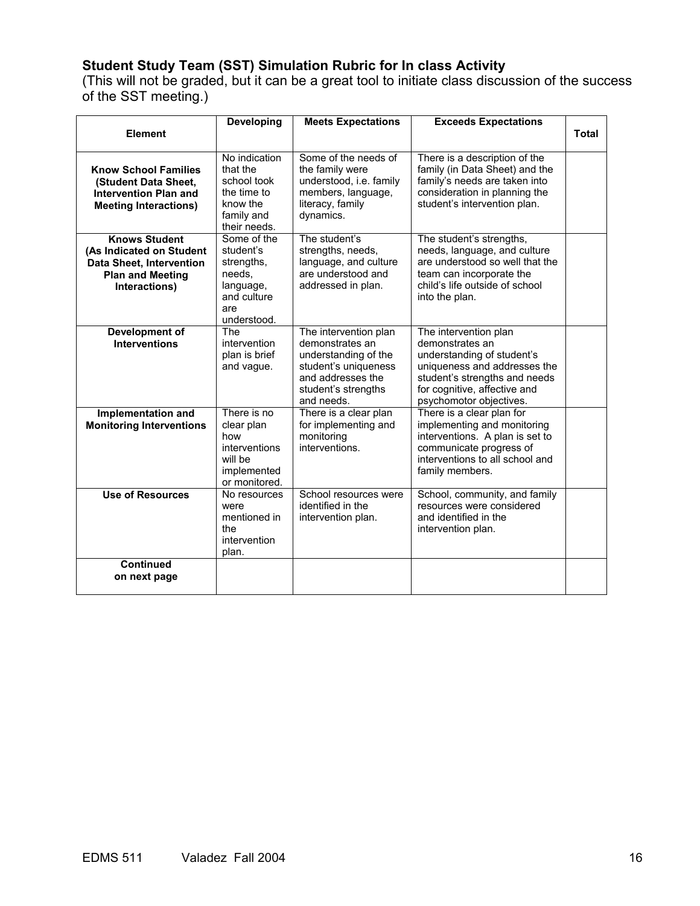## **Student Study Team (SST) Simulation Rubric for In class Activity**

(This will not be graded, but it can be a great tool to initiate class discussion of the success of the SST meeting.)

|                                                                                                                                 | <b>Developing</b>                                                                                  | <b>Meets Expectations</b>                                                                                                                          | <b>Exceeds Expectations</b>                                                                                                                                                                        |              |
|---------------------------------------------------------------------------------------------------------------------------------|----------------------------------------------------------------------------------------------------|----------------------------------------------------------------------------------------------------------------------------------------------------|----------------------------------------------------------------------------------------------------------------------------------------------------------------------------------------------------|--------------|
| <b>Element</b>                                                                                                                  |                                                                                                    |                                                                                                                                                    |                                                                                                                                                                                                    | <b>Total</b> |
| <b>Know School Families</b><br>(Student Data Sheet,<br><b>Intervention Plan and</b><br><b>Meeting Interactions)</b>             | No indication<br>that the<br>school took<br>the time to<br>know the<br>family and<br>their needs.  | Some of the needs of<br>the family were<br>understood, i.e. family<br>members, language,<br>literacy, family<br>dynamics.                          | There is a description of the<br>family (in Data Sheet) and the<br>family's needs are taken into<br>consideration in planning the<br>student's intervention plan.                                  |              |
| <b>Knows Student</b><br>(As Indicated on Student<br><b>Data Sheet, Intervention</b><br><b>Plan and Meeting</b><br>Interactions) | Some of the<br>student's<br>strengths,<br>needs,<br>language,<br>and culture<br>are<br>understood. | The student's<br>strengths, needs,<br>language, and culture<br>are understood and<br>addressed in plan.                                            | The student's strengths,<br>needs, language, and culture<br>are understood so well that the<br>team can incorporate the<br>child's life outside of school<br>into the plan.                        |              |
| Development of<br><b>Interventions</b>                                                                                          | <b>The</b><br>intervention<br>plan is brief<br>and vague.                                          | The intervention plan<br>demonstrates an<br>understanding of the<br>student's uniqueness<br>and addresses the<br>student's strengths<br>and needs. | The intervention plan<br>demonstrates an<br>understanding of student's<br>uniqueness and addresses the<br>student's strengths and needs<br>for cognitive, affective and<br>psychomotor objectives. |              |
| Implementation and<br><b>Monitoring Interventions</b>                                                                           | There is no<br>clear plan<br>how<br>interventions<br>will be<br>implemented<br>or monitored.       | There is a clear plan<br>for implementing and<br>monitoring<br>interventions.                                                                      | There is a clear plan for<br>implementing and monitoring<br>interventions. A plan is set to<br>communicate progress of<br>interventions to all school and<br>family members.                       |              |
| <b>Use of Resources</b>                                                                                                         | No resources<br>were<br>mentioned in<br>the<br>intervention<br>plan.                               | School resources were<br>identified in the<br>intervention plan.                                                                                   | School, community, and family<br>resources were considered<br>and identified in the<br>intervention plan.                                                                                          |              |
| <b>Continued</b><br>on next page                                                                                                |                                                                                                    |                                                                                                                                                    |                                                                                                                                                                                                    |              |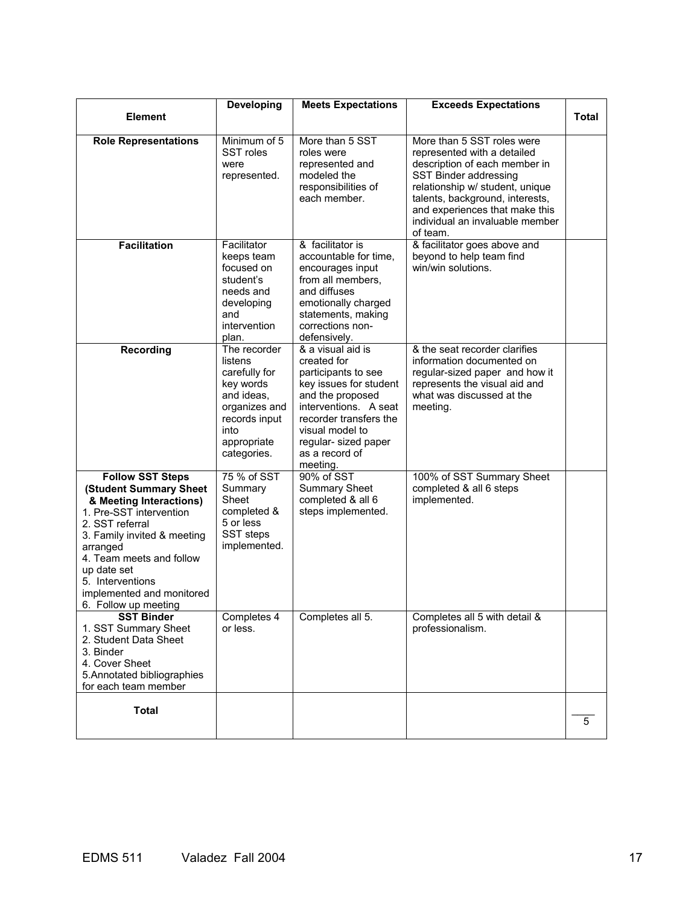|                                                                                                                                                                                                                                                                                           | Developing                                                                                                                                  | <b>Meets Expectations</b>                                                                                                                                                                                                         | <b>Exceeds Expectations</b>                                                                                                                                                                                                                                                |              |
|-------------------------------------------------------------------------------------------------------------------------------------------------------------------------------------------------------------------------------------------------------------------------------------------|---------------------------------------------------------------------------------------------------------------------------------------------|-----------------------------------------------------------------------------------------------------------------------------------------------------------------------------------------------------------------------------------|----------------------------------------------------------------------------------------------------------------------------------------------------------------------------------------------------------------------------------------------------------------------------|--------------|
| <b>Element</b>                                                                                                                                                                                                                                                                            |                                                                                                                                             |                                                                                                                                                                                                                                   |                                                                                                                                                                                                                                                                            | <b>Total</b> |
| <b>Role Representations</b>                                                                                                                                                                                                                                                               | Minimum of 5<br>SST roles<br>were<br>represented.                                                                                           | More than 5 SST<br>roles were<br>represented and<br>modeled the<br>responsibilities of<br>each member.                                                                                                                            | More than 5 SST roles were<br>represented with a detailed<br>description of each member in<br>SST Binder addressing<br>relationship w/ student, unique<br>talents, background, interests,<br>and experiences that make this<br>individual an invaluable member<br>of team. |              |
| <b>Facilitation</b>                                                                                                                                                                                                                                                                       | Facilitator<br>keeps team<br>focused on<br>student's<br>needs and<br>developing<br>and<br>intervention<br>plan.                             | & facilitator is<br>accountable for time,<br>encourages input<br>from all members,<br>and diffuses<br>emotionally charged<br>statements, making<br>corrections non-<br>defensively.                                               | & facilitator goes above and<br>beyond to help team find<br>win/win solutions.                                                                                                                                                                                             |              |
| <b>Recording</b>                                                                                                                                                                                                                                                                          | The recorder<br>listens<br>carefully for<br>key words<br>and ideas.<br>organizes and<br>records input<br>into<br>appropriate<br>categories. | & a visual aid is<br>created for<br>participants to see<br>key issues for student<br>and the proposed<br>interventions. A seat<br>recorder transfers the<br>visual model to<br>regular- sized paper<br>as a record of<br>meeting. | & the seat recorder clarifies<br>information documented on<br>regular-sized paper and how it<br>represents the visual aid and<br>what was discussed at the<br>meeting.                                                                                                     |              |
| <b>Follow SST Steps</b><br>(Student Summary Sheet<br>& Meeting Interactions)<br>1. Pre-SST intervention<br>2. SST referral<br>3. Family invited & meeting<br>arranged<br>4. Team meets and follow<br>up date set<br>5. Interventions<br>implemented and monitored<br>6. Follow up meeting | 75 % of SST<br>Summary<br>Sheet<br>completed &<br>5 or less<br>SST steps<br>implemented.                                                    | 90% of SST<br><b>Summary Sheet</b><br>completed & all 6<br>steps implemented.                                                                                                                                                     | 100% of SST Summary Sheet<br>completed & all 6 steps<br>implemented.                                                                                                                                                                                                       |              |
| <b>SST Binder</b><br>1. SST Summary Sheet<br>2. Student Data Sheet<br>3. Binder<br>4. Cover Sheet<br>5. Annotated bibliographies<br>for each team member                                                                                                                                  | Completes 4<br>or less.                                                                                                                     | Completes all 5.                                                                                                                                                                                                                  | Completes all 5 with detail &<br>professionalism.                                                                                                                                                                                                                          |              |
| <b>Total</b>                                                                                                                                                                                                                                                                              |                                                                                                                                             |                                                                                                                                                                                                                                   |                                                                                                                                                                                                                                                                            | 5            |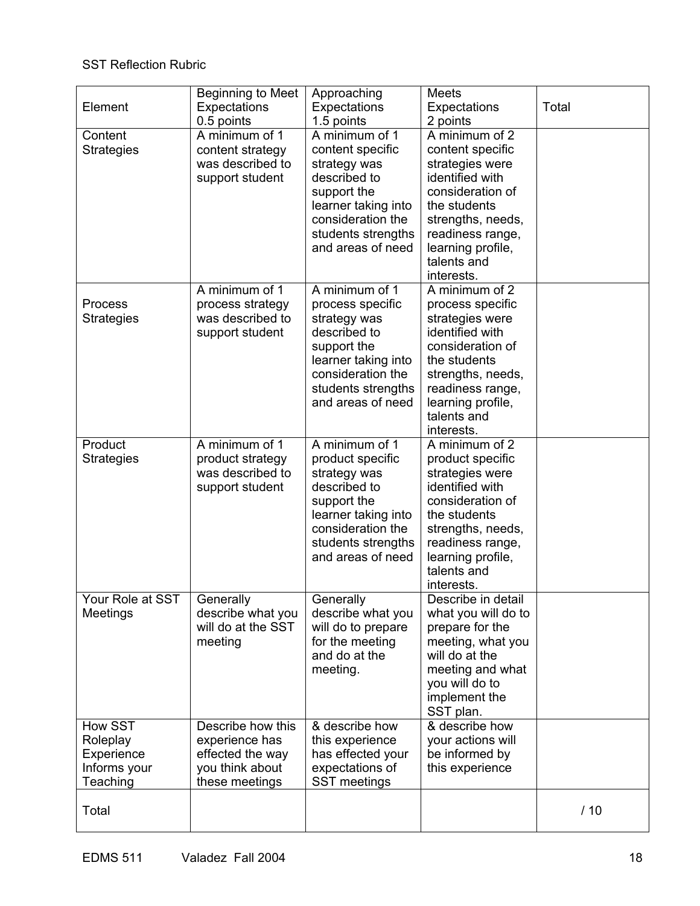## SST Reflection Rubric

| Element                                                       | Beginning to Meet<br>Expectations<br>0.5 points                                              | Approaching<br>Expectations<br>1.5 points                                                                                                                                | <b>Meets</b><br>Expectations<br>2 points                                                                                                                                                                  | Total |
|---------------------------------------------------------------|----------------------------------------------------------------------------------------------|--------------------------------------------------------------------------------------------------------------------------------------------------------------------------|-----------------------------------------------------------------------------------------------------------------------------------------------------------------------------------------------------------|-------|
| Content<br><b>Strategies</b>                                  | A minimum of 1<br>content strategy<br>was described to<br>support student                    | A minimum of 1<br>content specific<br>strategy was<br>described to<br>support the<br>learner taking into<br>consideration the<br>students strengths<br>and areas of need | A minimum of 2<br>content specific<br>strategies were<br>identified with<br>consideration of<br>the students<br>strengths, needs,<br>readiness range,<br>learning profile,<br>talents and<br>interests.   |       |
| Process<br><b>Strategies</b>                                  | A minimum of 1<br>process strategy<br>was described to<br>support student                    | A minimum of 1<br>process specific<br>strategy was<br>described to<br>support the<br>learner taking into<br>consideration the<br>students strengths<br>and areas of need | A minimum of 2<br>process specific<br>strategies were<br>identified with<br>consideration of<br>the students<br>strengths, needs,<br>readiness range,<br>learning profile,<br>talents and<br>interests.   |       |
| Product<br><b>Strategies</b>                                  | A minimum of 1<br>product strategy<br>was described to<br>support student                    | A minimum of 1<br>product specific<br>strategy was<br>described to<br>support the<br>learner taking into<br>consideration the<br>students strengths<br>and areas of need | A minimum of $2$<br>product specific<br>strategies were<br>identified with<br>consideration of<br>the students<br>strengths, needs,<br>readiness range,<br>learning profile,<br>talents and<br>interests. |       |
| Your Role at SST<br>Meetings                                  | Generally<br>describe what you<br>will do at the SST<br>meeting                              | Generally<br>describe what you<br>will do to prepare<br>for the meeting<br>and do at the<br>meeting.                                                                     | Describe in detail<br>what you will do to<br>prepare for the<br>meeting, what you<br>will do at the<br>meeting and what<br>you will do to<br>implement the<br>SST plan.                                   |       |
| How SST<br>Roleplay<br>Experience<br>Informs your<br>Teaching | Describe how this<br>experience has<br>effected the way<br>you think about<br>these meetings | & describe how<br>this experience<br>has effected your<br>expectations of<br>SST meetings                                                                                | & describe how<br>your actions will<br>be informed by<br>this experience                                                                                                                                  |       |
| Total                                                         |                                                                                              |                                                                                                                                                                          |                                                                                                                                                                                                           | /10   |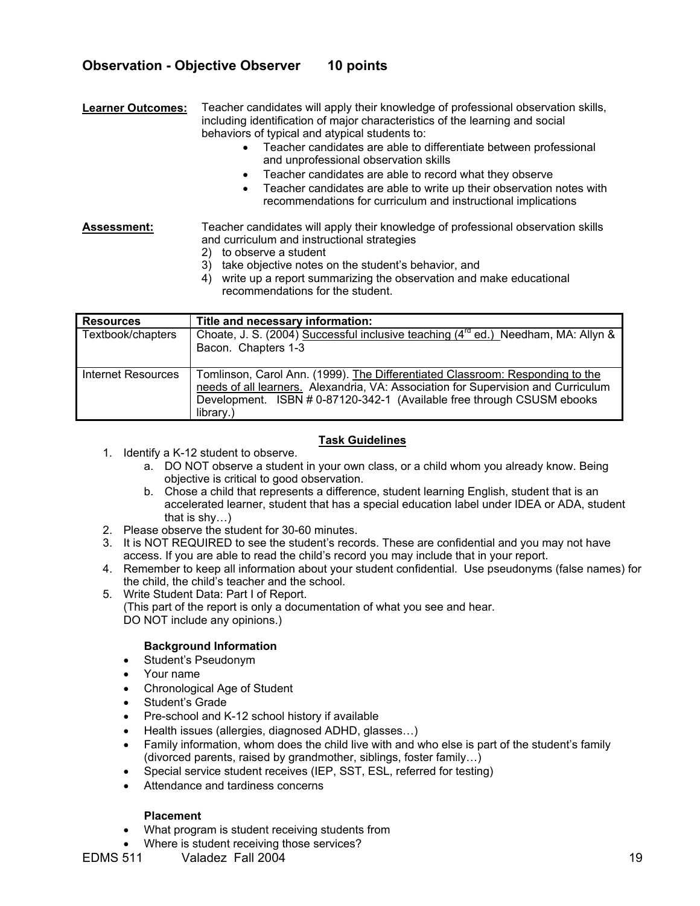## **Observation - Objective Observer 10 points**

**Learner Outcomes:** Teacher candidates will apply their knowledge of professional observation skills, including identification of major characteristics of the learning and social behaviors of typical and atypical students to:

- Teacher candidates are able to differentiate between professional and unprofessional observation skills
- Teacher candidates are able to record what they observe
- Teacher candidates are able to write up their observation notes with recommendations for curriculum and instructional implications

**Assessment:** Teacher candidates will apply their knowledge of professional observation skills and curriculum and instructional strategies

- 2) to observe a student
- 3) take objective notes on the student's behavior, and
- 4) write up a report summarizing the observation and make educational recommendations for the student.

| <b>Resources</b>          | Title and necessary information:                                                                                                                                                                                                                          |
|---------------------------|-----------------------------------------------------------------------------------------------------------------------------------------------------------------------------------------------------------------------------------------------------------|
| Textbook/chapters         | Choate, J. S. (2004) Successful inclusive teaching $(4^{rd}$ ed.) Needham, MA: Allyn &<br>Bacon. Chapters 1-3                                                                                                                                             |
| <b>Internet Resources</b> | Tomlinson, Carol Ann. (1999). The Differentiated Classroom: Responding to the<br>needs of all learners. Alexandria, VA: Association for Supervision and Curriculum<br>Development. ISBN # 0-87120-342-1 (Available free through CSUSM ebooks<br>library.) |

#### **Task Guidelines**

- 1. Identify a K-12 student to observe.
	- a. DO NOT observe a student in your own class, or a child whom you already know. Being objective is critical to good observation.
	- b. Chose a child that represents a difference, student learning English, student that is an accelerated learner, student that has a special education label under IDEA or ADA, student that is shy…)
- 2. Please observe the student for 30-60 minutes.
- 3. It is NOT REQUIRED to see the student's records. These are confidential and you may not have access. If you are able to read the child's record you may include that in your report.
- 4. Remember to keep all information about your student confidential. Use pseudonyms (false names) for the child, the child's teacher and the school.
- 5. Write Student Data: Part I of Report.
	- (This part of the report is only a documentation of what you see and hear. DO NOT include any opinions.)

## **Background Information**

- Student's Pseudonym
- Your name
- Chronological Age of Student
- Student's Grade
- Pre-school and K-12 school history if available
- Health issues (allergies, diagnosed ADHD, glasses…)
- Family information, whom does the child live with and who else is part of the student's family (divorced parents, raised by grandmother, siblings, foster family…)
- Special service student receives (IEP, SST, ESL, referred for testing)
- Attendance and tardiness concerns

## **Placement**

- What program is student receiving students from
- Where is student receiving those services?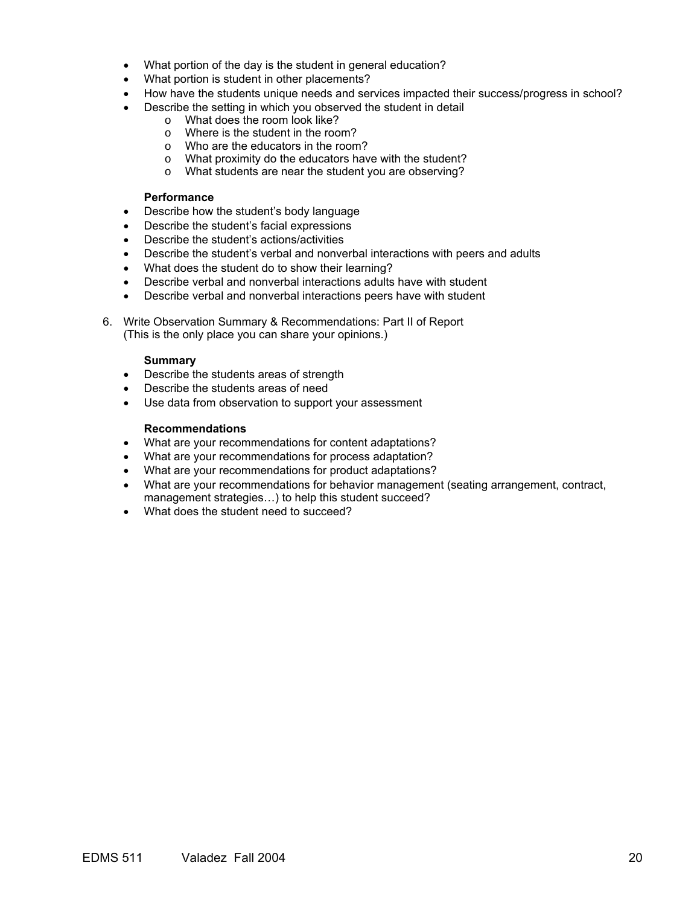- What portion of the day is the student in general education?
- What portion is student in other placements?
- How have the students unique needs and services impacted their success/progress in school?
- Describe the setting in which you observed the student in detail
	- o What does the room look like?
	- o Where is the student in the room?
	- o Who are the educators in the room?
	- o What proximity do the educators have with the student?
	- o What students are near the student you are observing?

#### **Performance**

- Describe how the student's body language
- Describe the student's facial expressions
- Describe the student's actions/activities
- Describe the student's verbal and nonverbal interactions with peers and adults
- What does the student do to show their learning?
- Describe verbal and nonverbal interactions adults have with student
- Describe verbal and nonverbal interactions peers have with student
- 6. Write Observation Summary & Recommendations: Part II of Report (This is the only place you can share your opinions.)

#### **Summary**

- Describe the students areas of strength
- Describe the students areas of need
- Use data from observation to support your assessment

#### **Recommendations**

- What are your recommendations for content adaptations?
- What are your recommendations for process adaptation?
- What are your recommendations for product adaptations?
- What are your recommendations for behavior management (seating arrangement, contract, management strategies…) to help this student succeed?
- What does the student need to succeed?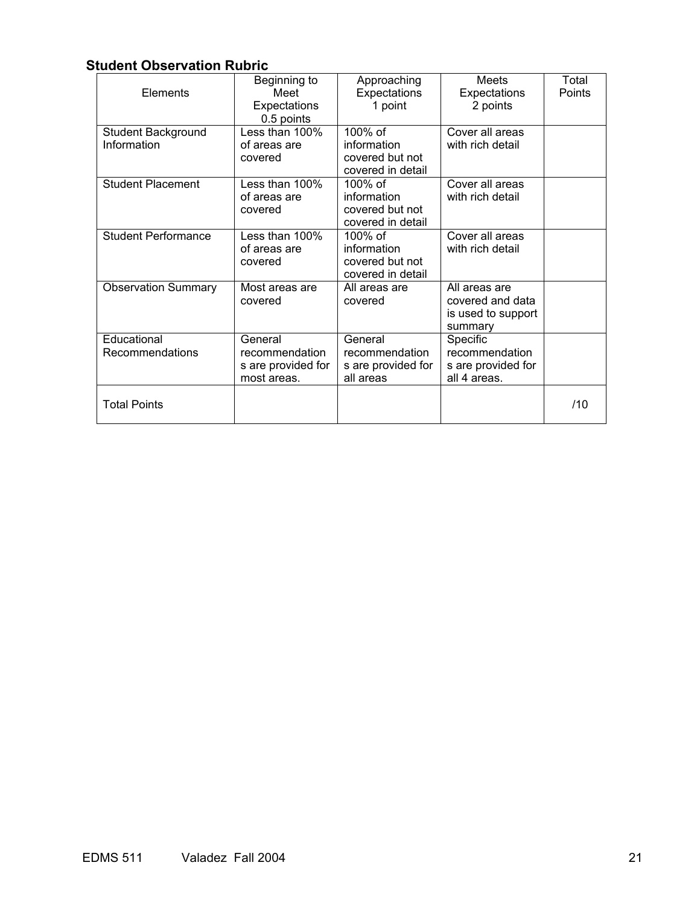## **Student Observation Rubric**

| Elements                          | Beginning to<br>Meet<br>Expectations<br>0.5 points             | Approaching<br>Expectations<br>1 point                         | Meets<br>Expectations<br>2 points                                  | Total<br>Points |
|-----------------------------------|----------------------------------------------------------------|----------------------------------------------------------------|--------------------------------------------------------------------|-----------------|
| Student Background<br>Information | Less than 100%<br>of areas are<br>covered                      | 100% of<br>information<br>covered but not<br>covered in detail | Cover all areas<br>with rich detail                                |                 |
| <b>Student Placement</b>          | Less than 100%<br>of areas are<br>covered                      | 100% of<br>information<br>covered but not<br>covered in detail | Cover all areas<br>with rich detail                                |                 |
| <b>Student Performance</b>        | Less than 100%<br>of areas are<br>covered                      | 100% of<br>information<br>covered but not<br>covered in detail | Cover all areas<br>with rich detail                                |                 |
| <b>Observation Summary</b>        | Most areas are<br>covered                                      | All areas are<br>covered                                       | All areas are<br>covered and data<br>is used to support<br>summary |                 |
| Educational<br>Recommendations    | General<br>recommendation<br>s are provided for<br>most areas. | General<br>recommendation<br>s are provided for<br>all areas   | Specific<br>recommendation<br>s are provided for<br>all 4 areas.   |                 |
| <b>Total Points</b>               |                                                                |                                                                |                                                                    | /10             |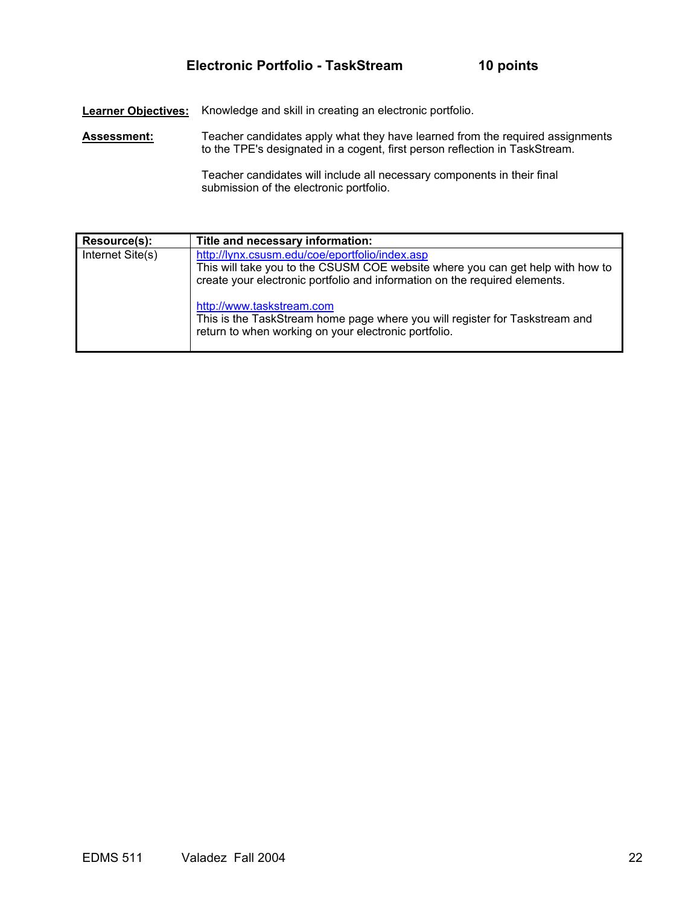**Learner Objectives:** Knowledge and skill in creating an electronic portfolio.

Assessment: Teacher candidates apply what they have learned from the required assignments to the TPE's designated in a cogent, first person reflection in TaskStream.

> Teacher candidates will include all necessary components in their final submission of the electronic portfolio.

| Resource(s):     | Title and necessary information:                                                                                                                                                                               |
|------------------|----------------------------------------------------------------------------------------------------------------------------------------------------------------------------------------------------------------|
| Internet Site(s) | http://lynx.csusm.edu/coe/eportfolio/index.asp<br>This will take you to the CSUSM COE website where you can get help with how to<br>create your electronic portfolio and information on the required elements. |
|                  | http://www.taskstream.com<br>This is the TaskStream home page where you will register for Taskstream and<br>return to when working on your electronic portfolio.                                               |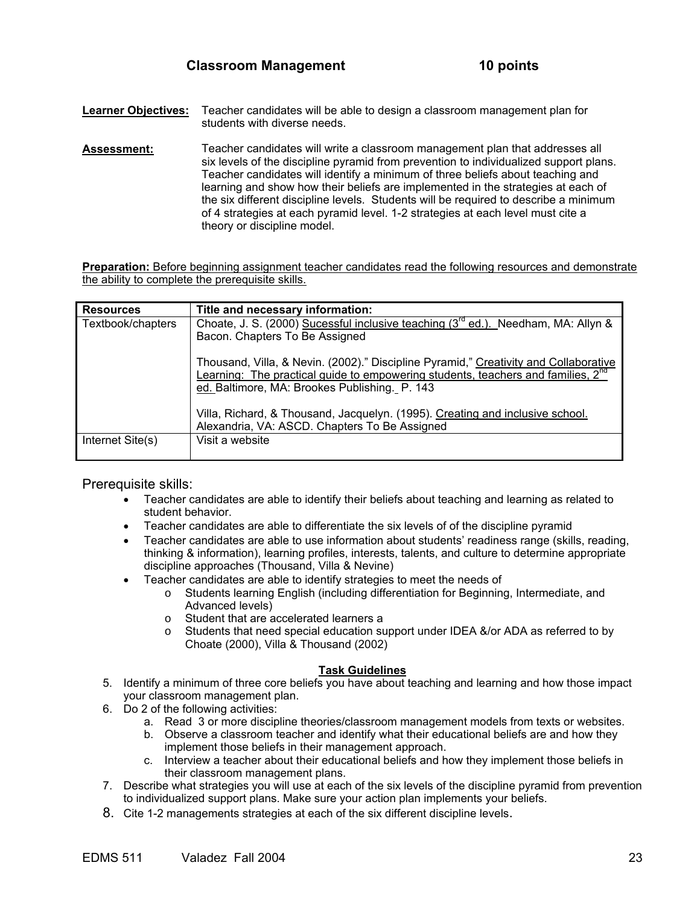- **Learner Objectives:** Teacher candidates will be able to design a classroom management plan for students with diverse needs.
- **Assessment:** Teacher candidates will write a classroom management plan that addresses all six levels of the discipline pyramid from prevention to individualized support plans. Teacher candidates will identify a minimum of three beliefs about teaching and learning and show how their beliefs are implemented in the strategies at each of the six different discipline levels. Students will be required to describe a minimum of 4 strategies at each pyramid level. 1-2 strategies at each level must cite a theory or discipline model.

**Preparation:** Before beginning assignment teacher candidates read the following resources and demonstrate the ability to complete the prerequisite skills.

| <b>Resources</b>  | Title and necessary information:                                                                                                                                                                                                      |
|-------------------|---------------------------------------------------------------------------------------------------------------------------------------------------------------------------------------------------------------------------------------|
| Textbook/chapters | Choate, J. S. (2000) Sucessful inclusive teaching (3 <sup>rd</sup> ed.). Needham, MA: Allyn &<br>Bacon. Chapters To Be Assigned                                                                                                       |
|                   | Thousand, Villa, & Nevin. (2002)." Discipline Pyramid," Creativity and Collaborative<br>Learning: The practical guide to empowering students, teachers and families, 2 <sup>nd</sup><br>ed. Baltimore, MA: Brookes Publishing. P. 143 |
|                   | Villa, Richard, & Thousand, Jacquelyn. (1995). Creating and inclusive school.<br>Alexandria, VA: ASCD. Chapters To Be Assigned                                                                                                        |
| Internet Site(s)  | Visit a website                                                                                                                                                                                                                       |

Prerequisite skills:

- Teacher candidates are able to identify their beliefs about teaching and learning as related to student behavior.
- Teacher candidates are able to differentiate the six levels of of the discipline pyramid
- Teacher candidates are able to use information about students' readiness range (skills, reading, thinking & information), learning profiles, interests, talents, and culture to determine appropriate discipline approaches (Thousand, Villa & Nevine)
- Teacher candidates are able to identify strategies to meet the needs of
	- o Students learning English (including differentiation for Beginning, Intermediate, and Advanced levels)
		- o Student that are accelerated learners a
		- $\circ$  Students that need special education support under IDEA &/or ADA as referred to by Choate (2000), Villa & Thousand (2002)

#### **Task Guidelines**

- 5. Identify a minimum of three core beliefs you have about teaching and learning and how those impact your classroom management plan.
- 6. Do 2 of the following activities:
	- a. Read 3 or more discipline theories/classroom management models from texts or websites.
	- b. Observe a classroom teacher and identify what their educational beliefs are and how they implement those beliefs in their management approach.
	- c. Interview a teacher about their educational beliefs and how they implement those beliefs in their classroom management plans.
- 7. Describe what strategies you will use at each of the six levels of the discipline pyramid from prevention to individualized support plans. Make sure your action plan implements your beliefs.
- 8. Cite 1-2 managements strategies at each of the six different discipline levels.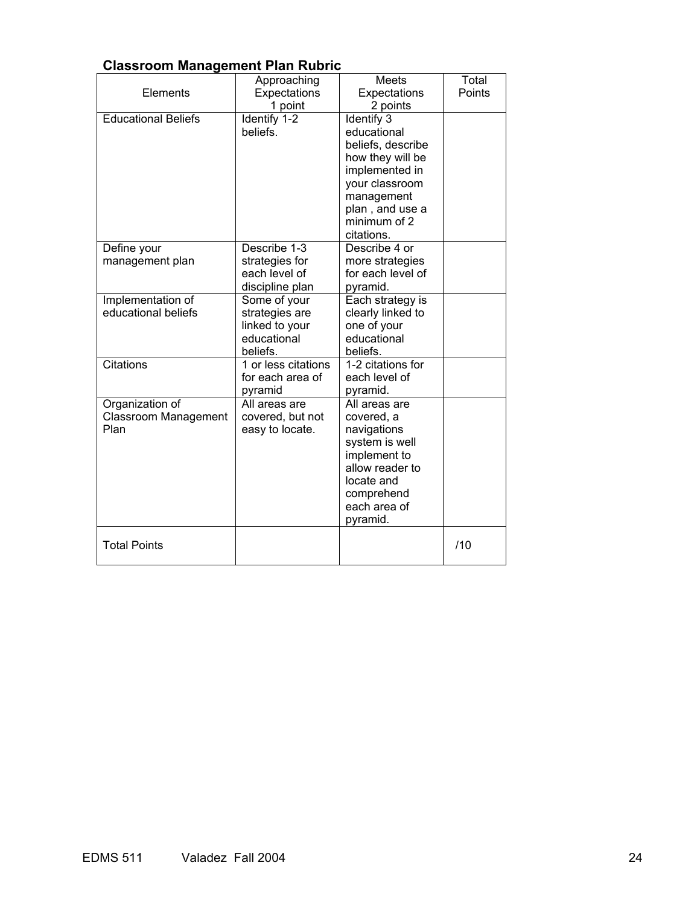# **Classroom Management Plan Rubric**

|                                                 | Approaching                                                                 | Meets                                                                                                                                                          | Total  |
|-------------------------------------------------|-----------------------------------------------------------------------------|----------------------------------------------------------------------------------------------------------------------------------------------------------------|--------|
| Elements                                        | Expectations                                                                | Expectations                                                                                                                                                   | Points |
|                                                 | 1 point                                                                     | 2 points                                                                                                                                                       |        |
| <b>Educational Beliefs</b>                      | Identify 1-2<br>beliefs.                                                    | <b>Identify 3</b><br>educational<br>beliefs, describe<br>how they will be<br>implemented in<br>your classroom<br>management<br>plan, and use a<br>minimum of 2 |        |
|                                                 |                                                                             | citations.                                                                                                                                                     |        |
| Define your<br>management plan                  | Describe 1-3<br>strategies for<br>each level of<br>discipline plan          | Describe 4 or<br>more strategies<br>for each level of<br>pyramid.                                                                                              |        |
| Implementation of<br>educational beliefs        | Some of your<br>strategies are<br>linked to your<br>educational<br>beliefs. | Each strategy is<br>clearly linked to<br>one of your<br>educational<br>beliefs.                                                                                |        |
| <b>Citations</b>                                | 1 or less citations<br>for each area of<br>pyramid                          | 1-2 citations for<br>each level of<br>pyramid.                                                                                                                 |        |
| Organization of<br>Classroom Management<br>Plan | All areas are<br>covered, but not<br>easy to locate.                        | All areas are<br>covered, a<br>navigations<br>system is well<br>implement to<br>allow reader to<br>locate and<br>comprehend<br>each area of<br>pyramid.        |        |
| <b>Total Points</b>                             |                                                                             |                                                                                                                                                                | /10    |